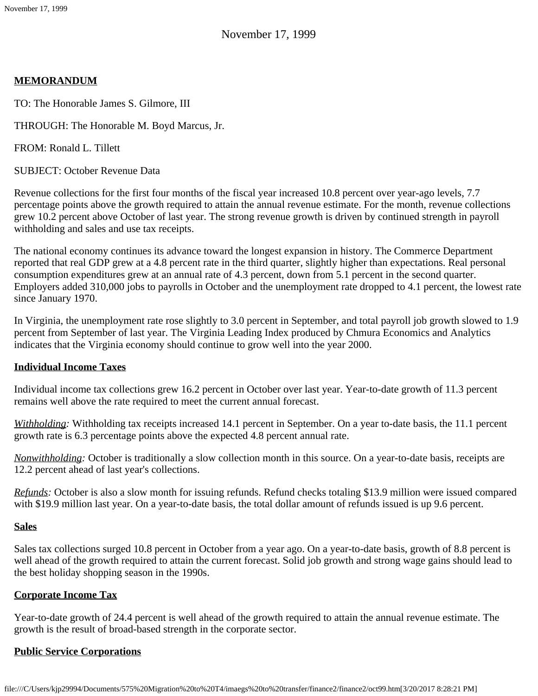November 17, 1999

### **MEMORANDUM**

TO: The Honorable James S. Gilmore, III

THROUGH: The Honorable M. Boyd Marcus, Jr.

FROM: Ronald L. Tillett

SUBJECT: October Revenue Data

Revenue collections for the first four months of the fiscal year increased 10.8 percent over year-ago levels, 7.7 percentage points above the growth required to attain the annual revenue estimate. For the month, revenue collections grew 10.2 percent above October of last year. The strong revenue growth is driven by continued strength in payroll withholding and sales and use tax receipts.

The national economy continues its advance toward the longest expansion in history. The Commerce Department reported that real GDP grew at a 4.8 percent rate in the third quarter, slightly higher than expectations. Real personal consumption expenditures grew at an annual rate of 4.3 percent, down from 5.1 percent in the second quarter. Employers added 310,000 jobs to payrolls in October and the unemployment rate dropped to 4.1 percent, the lowest rate since January 1970.

In Virginia, the unemployment rate rose slightly to 3.0 percent in September, and total payroll job growth slowed to 1.9 percent from September of last year. The Virginia Leading Index produced by Chmura Economics and Analytics indicates that the Virginia economy should continue to grow well into the year 2000.

### **Individual Income Taxes**

Individual income tax collections grew 16.2 percent in October over last year. Year-to-date growth of 11.3 percent remains well above the rate required to meet the current annual forecast.

*Withholding:* Withholding tax receipts increased 14.1 percent in September. On a year to-date basis, the 11.1 percent growth rate is 6.3 percentage points above the expected 4.8 percent annual rate.

*Nonwithholding:* October is traditionally a slow collection month in this source. On a year-to-date basis, receipts are 12.2 percent ahead of last year's collections.

*Refunds:* October is also a slow month for issuing refunds. Refund checks totaling \$13.9 million were issued compared with \$19.9 million last year. On a year-to-date basis, the total dollar amount of refunds issued is up 9.6 percent.

### **Sales**

Sales tax collections surged 10.8 percent in October from a year ago. On a year-to-date basis, growth of 8.8 percent is well ahead of the growth required to attain the current forecast. Solid job growth and strong wage gains should lead to the best holiday shopping season in the 1990s.

### **Corporate Income Tax**

Year-to-date growth of 24.4 percent is well ahead of the growth required to attain the annual revenue estimate. The growth is the result of broad-based strength in the corporate sector.

# **Public Service Corporations**